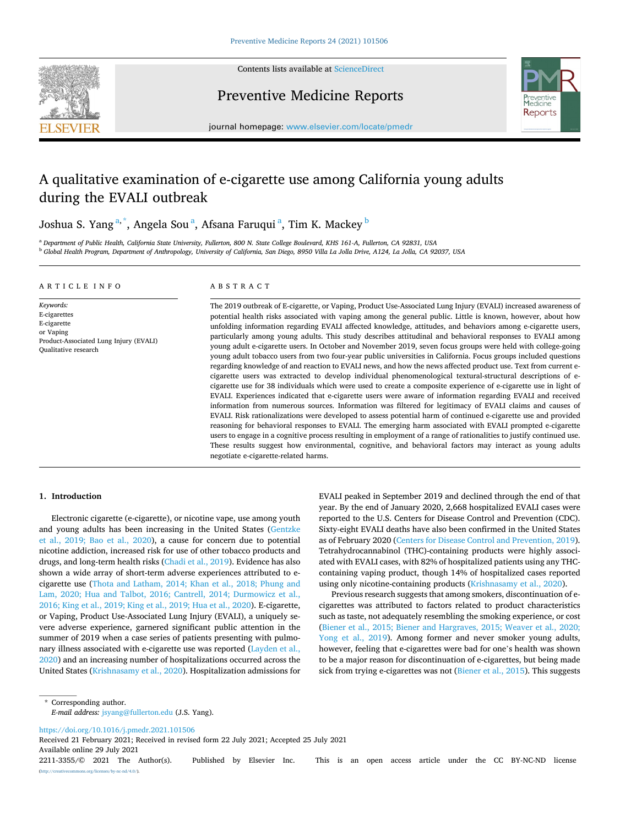

Contents lists available at [ScienceDirect](www.sciencedirect.com/science/journal/22113355)

Preventive Medicine Reports



journal homepage: [www.elsevier.com/locate/pmedr](https://www.elsevier.com/locate/pmedr) 

# A qualitative examination of e-cigarette use among California young adults during the EVALI outbreak

Joshua S. Yang<sup>a,\*</sup>, Angela Sou<sup>a</sup>, Afsana Faruqui<sup>a</sup>, Tim K. Mackey <sup>b</sup>

<sup>a</sup> *Department of Public Health, California State University, Fullerton, 800 N. State College Boulevard, KHS 161-A, Fullerton, CA 92831, USA* <sup>b</sup> *Global Health Program, Department of Anthropology, University of California, San Diego, 8950 Villa La Jolla Drive, A124, La Jolla, CA 92037, USA* 

#### ARTICLE INFO

## ABSTRACT

*Keywords:*  E-cigarettes E-cigarette or Vaping Product-Associated Lung Injury (EVALI) Qualitative research

The 2019 outbreak of E-cigarette, or Vaping, Product Use-Associated Lung Injury (EVALI) increased awareness of potential health risks associated with vaping among the general public. Little is known, however, about how unfolding information regarding EVALI affected knowledge, attitudes, and behaviors among e-cigarette users, particularly among young adults. This study describes attitudinal and behavioral responses to EVALI among young adult e-cigarette users. In October and November 2019, seven focus groups were held with college-going young adult tobacco users from two four-year public universities in California. Focus groups included questions regarding knowledge of and reaction to EVALI news, and how the news affected product use. Text from current ecigarette users was extracted to develop individual phenomenological textural-structural descriptions of ecigarette use for 38 individuals which were used to create a composite experience of e-cigarette use in light of EVALI. Experiences indicated that e-cigarette users were aware of information regarding EVALI and received information from numerous sources. Information was filtered for legitimacy of EVALI claims and causes of EVALI. Risk rationalizations were developed to assess potential harm of continued e-cigarette use and provided reasoning for behavioral responses to EVALI. The emerging harm associated with EVALI prompted e-cigarette users to engage in a cognitive process resulting in employment of a range of rationalities to justify continued use. These results suggest how environmental, cognitive, and behavioral factors may interact as young adults negotiate e-cigarette-related harms.

# **1. Introduction**

Electronic cigarette (e-cigarette), or nicotine vape, use among youth and young adults has been increasing in the United States [\(Gentzke](#page-4-0)  [et al., 2019; Bao et al., 2020\)](#page-4-0), a cause for concern due to potential nicotine addiction, increased risk for use of other tobacco products and drugs, and long-term health risks [\(Chadi et al., 2019\)](#page-4-0). Evidence has also shown a wide array of short-term adverse experiences attributed to ecigarette use ([Thota and Latham, 2014; Khan et al., 2018; Phung and](#page-4-0)  [Lam, 2020; Hua and Talbot, 2016; Cantrell, 2014; Durmowicz et al.,](#page-4-0)  [2016; King et al., 2019; King et al., 2019; Hua et al., 2020](#page-4-0)). E-cigarette, or Vaping, Product Use-Associated Lung Injury (EVALI), a uniquely severe adverse experience, garnered significant public attention in the summer of 2019 when a case series of patients presenting with pulmonary illness associated with e-cigarette use was reported (Layden et al., [2020\)](#page-4-0) and an increasing number of hospitalizations occurred across the United States ([Krishnasamy et al., 2020](#page-4-0)). Hospitalization admissions for EVALI peaked in September 2019 and declined through the end of that year. By the end of January 2020, 2,668 hospitalized EVALI cases were reported to the U.S. Centers for Disease Control and Prevention (CDC). Sixty-eight EVALI deaths have also been confirmed in the United States as of February 2020 ([Centers for Disease Control and Prevention, 2019](#page-4-0)). Tetrahydrocannabinol (THC)-containing products were highly associated with EVALI cases, with 82% of hospitalized patients using any THCcontaining vaping product, though 14% of hospitalized cases reported using only nicotine-containing products [\(Krishnasamy et al., 2020](#page-4-0)).

Previous research suggests that among smokers, discontinuation of ecigarettes was attributed to factors related to product characteristics such as taste, not adequately resembling the smoking experience, or cost ([Biener et al., 2015; Biener and Hargraves, 2015; Weaver et al., 2020;](#page-4-0)  [Yong et al., 2019\)](#page-4-0). Among former and never smoker young adults, however, feeling that e-cigarettes were bad for one's health was shown to be a major reason for discontinuation of e-cigarettes, but being made sick from trying e-cigarettes was not ([Biener et al., 2015](#page-4-0)). This suggests

\* Corresponding author. *E-mail address:* [jsyang@fullerton.edu](mailto:jsyang@fullerton.edu) (J.S. Yang).

<https://doi.org/10.1016/j.pmedr.2021.101506>

Available online 29 July 2021 2211-3355/© 2021 The Author(s). Published by Elsevier Inc. This is an open access article under the CC BY-NC-ND license [\(http://creativecommons.org/licenses/by-nc-nd/4.0/\)](http://creativecommons.org/licenses/by-nc-nd/4.0/). Received 21 February 2021; Received in revised form 22 July 2021; Accepted 25 July 2021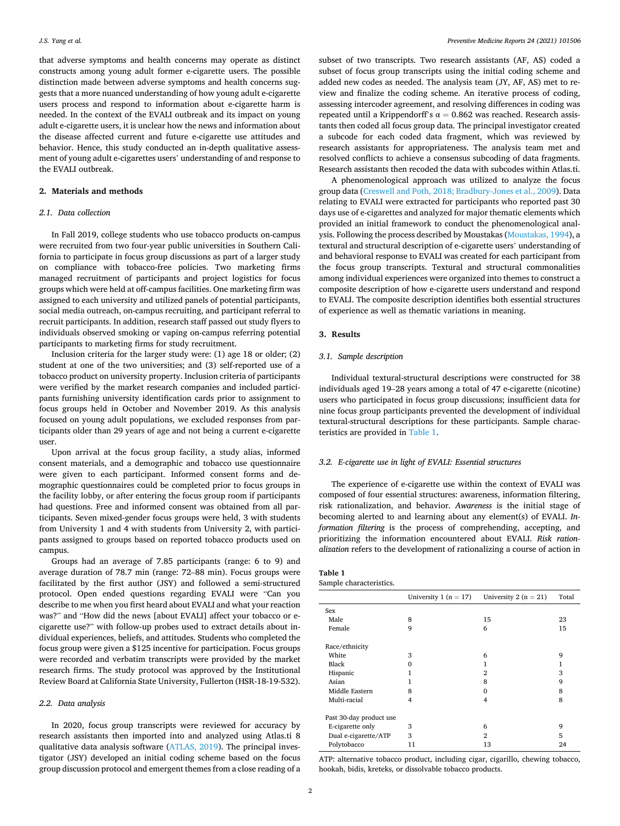that adverse symptoms and health concerns may operate as distinct constructs among young adult former e-cigarette users. The possible distinction made between adverse symptoms and health concerns suggests that a more nuanced understanding of how young adult e-cigarette users process and respond to information about e-cigarette harm is needed. In the context of the EVALI outbreak and its impact on young adult e-cigarette users, it is unclear how the news and information about the disease affected current and future e-cigarette use attitudes and behavior. Hence, this study conducted an in-depth qualitative assessment of young adult e-cigarettes users' understanding of and response to the EVALI outbreak.

## **2. Materials and methods**

#### *2.1. Data collection*

In Fall 2019, college students who use tobacco products on-campus were recruited from two four-year public universities in Southern California to participate in focus group discussions as part of a larger study on compliance with tobacco-free policies. Two marketing firms managed recruitment of participants and project logistics for focus groups which were held at off-campus facilities. One marketing firm was assigned to each university and utilized panels of potential participants, social media outreach, on-campus recruiting, and participant referral to recruit participants. In addition, research staff passed out study flyers to individuals observed smoking or vaping on-campus referring potential participants to marketing firms for study recruitment.

Inclusion criteria for the larger study were: (1) age 18 or older; (2) student at one of the two universities; and (3) self-reported use of a tobacco product on university property. Inclusion criteria of participants were verified by the market research companies and included participants furnishing university identification cards prior to assignment to focus groups held in October and November 2019. As this analysis focused on young adult populations, we excluded responses from participants older than 29 years of age and not being a current e-cigarette user.

Upon arrival at the focus group facility, a study alias, informed consent materials, and a demographic and tobacco use questionnaire were given to each participant. Informed consent forms and demographic questionnaires could be completed prior to focus groups in the facility lobby, or after entering the focus group room if participants had questions. Free and informed consent was obtained from all participants. Seven mixed-gender focus groups were held, 3 with students from University 1 and 4 with students from University 2, with participants assigned to groups based on reported tobacco products used on campus.

Groups had an average of 7.85 participants (range: 6 to 9) and average duration of 78.7 min (range: 72–88 min). Focus groups were facilitated by the first author (JSY) and followed a semi-structured protocol. Open ended questions regarding EVALI were "Can you describe to me when you first heard about EVALI and what your reaction was?" and "How did the news [about EVALI] affect your tobacco or ecigarette use?" with follow-up probes used to extract details about individual experiences, beliefs, and attitudes. Students who completed the focus group were given a \$125 incentive for participation. Focus groups were recorded and verbatim transcripts were provided by the market research firms. The study protocol was approved by the Institutional Review Board at California State University, Fullerton (HSR-18-19-532).

#### *2.2. Data analysis*

In 2020, focus group transcripts were reviewed for accuracy by research assistants then imported into and analyzed using Atlas.ti 8 qualitative data analysis software ([ATLAS, 2019\)](#page-4-0). The principal investigator (JSY) developed an initial coding scheme based on the focus group discussion protocol and emergent themes from a close reading of a subset of two transcripts. Two research assistants (AF, AS) coded a subset of focus group transcripts using the initial coding scheme and added new codes as needed. The analysis team (JY, AF, AS) met to review and finalize the coding scheme. An iterative process of coding, assessing intercoder agreement, and resolving differences in coding was repeated until a Krippendorff's  $\alpha = 0.862$  was reached. Research assistants then coded all focus group data. The principal investigator created a subcode for each coded data fragment, which was reviewed by research assistants for appropriateness. The analysis team met and resolved conflicts to achieve a consensus subcoding of data fragments. Research assistants then recoded the data with subcodes within Atlas.ti.

A phenomenological approach was utilized to analyze the focus group data [\(Creswell and Poth, 2018; Bradbury-Jones et al., 2009](#page-4-0)). Data relating to EVALI were extracted for participants who reported past 30 days use of e-cigarettes and analyzed for major thematic elements which provided an initial framework to conduct the phenomenological analysis. Following the process described by Moustakas ([Moustakas, 1994\)](#page-4-0), a textural and structural description of e-cigarette users' understanding of and behavioral response to EVALI was created for each participant from the focus group transcripts. Textural and structural commonalities among individual experiences were organized into themes to construct a composite description of how e-cigarette users understand and respond to EVALI. The composite description identifies both essential structures of experience as well as thematic variations in meaning.

#### **3. Results**

## *3.1. Sample description*

Individual textural-structural descriptions were constructed for 38 individuals aged 19–28 years among a total of 47 e-cigarette (nicotine) users who participated in focus group discussions; insufficient data for nine focus group participants prevented the development of individual textural-structural descriptions for these participants. Sample characteristics are provided in Table 1.

### *3.2. E-cigarette use in light of EVALI: Essential structures*

The experience of e-cigarette use within the context of EVALI was composed of four essential structures: awareness, information filtering, risk rationalization, and behavior. *Awareness* is the initial stage of becoming alerted to and learning about any element(s) of EVALI. *Information filtering* is the process of comprehending, accepting, and prioritizing the information encountered about EVALI. *Risk rationalization* refers to the development of rationalizing a course of action in

| Table 1                 |
|-------------------------|
| Sample characteristics. |

|                         | University 1 ( $n = 17$ ) | University 2 ( $n = 21$ ) | Total |
|-------------------------|---------------------------|---------------------------|-------|
| Sex                     |                           |                           |       |
| Male                    | 8                         | 15                        | 23    |
| Female                  | 9                         | 6                         | 15    |
| Race/ethnicity          |                           |                           |       |
| White                   | 3                         | 6                         | 9     |
| Black                   | 0                         | 1                         | 1     |
| Hispanic                | 1                         | 2                         | 3     |
| Asian                   | 1                         | 8                         | 9     |
| Middle Eastern          | 8                         | 0                         | 8     |
| Multi-racial            | 4                         | 4                         | 8     |
| Past 30-day product use |                           |                           |       |
| E-cigarette only        | 3                         | 6                         | 9     |
| Dual e-cigarette/ATP    | 3                         | $\mathfrak{D}$            | 5     |
| Polytobacco             | 11                        | 13                        | 24    |

ATP: alternative tobacco product, including cigar, cigarillo, chewing tobacco, hookah, bidis, kreteks, or dissolvable tobacco products.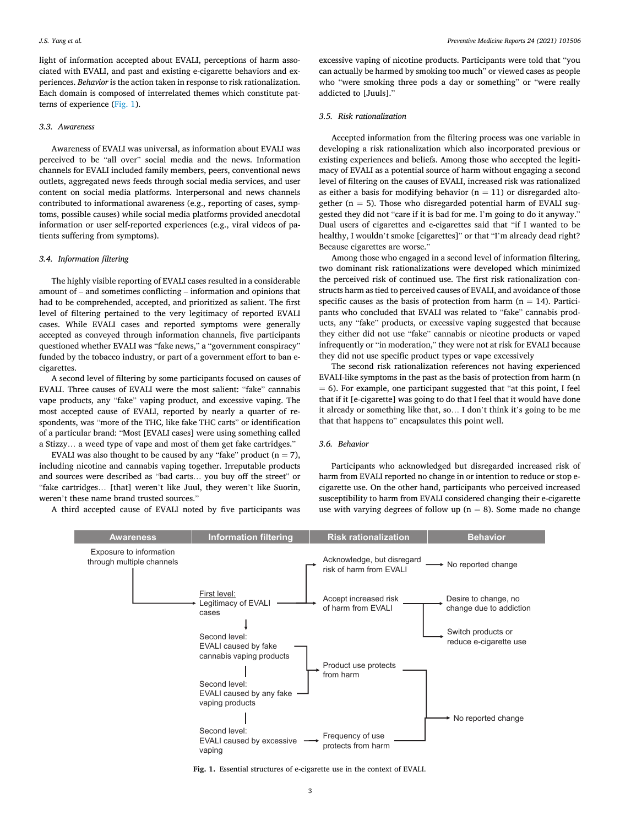light of information accepted about EVALI, perceptions of harm associated with EVALI, and past and existing e-cigarette behaviors and experiences. *Behavior* is the action taken in response to risk rationalization. Each domain is composed of interrelated themes which constitute patterns of experience (Fig. 1).

## *3.3. Awareness*

Awareness of EVALI was universal, as information about EVALI was perceived to be "all over" social media and the news. Information channels for EVALI included family members, peers, conventional news outlets, aggregated news feeds through social media services, and user content on social media platforms. Interpersonal and news channels contributed to informational awareness (e.g., reporting of cases, symptoms, possible causes) while social media platforms provided anecdotal information or user self-reported experiences (e.g., viral videos of patients suffering from symptoms).

#### *3.4. Information filtering*

The highly visible reporting of EVALI cases resulted in a considerable amount of – and sometimes conflicting – information and opinions that had to be comprehended, accepted, and prioritized as salient. The first level of filtering pertained to the very legitimacy of reported EVALI cases. While EVALI cases and reported symptoms were generally accepted as conveyed through information channels, five participants questioned whether EVALI was "fake news," a "government conspiracy" funded by the tobacco industry, or part of a government effort to ban ecigarettes.

A second level of filtering by some participants focused on causes of EVALI. Three causes of EVALI were the most salient: "fake" cannabis vape products, any "fake" vaping product, and excessive vaping. The most accepted cause of EVALI, reported by nearly a quarter of respondents, was "more of the THC, like fake THC carts" or identification of a particular brand: "Most [EVALI cases] were using something called a Stizzy… a weed type of vape and most of them get fake cartridges."

EVALI was also thought to be caused by any "fake" product  $(n = 7)$ , including nicotine and cannabis vaping together. Irreputable products and sources were described as "bad carts… you buy off the street" or "fake cartridges… [that] weren't like Juul, they weren't like Suorin, weren't these name brand trusted sources."

A third accepted cause of EVALI noted by five participants was

excessive vaping of nicotine products. Participants were told that "you can actually be harmed by smoking too much" or viewed cases as people who "were smoking three pods a day or something" or "were really addicted to [Juuls].'

## *3.5. Risk rationalization*

Accepted information from the filtering process was one variable in developing a risk rationalization which also incorporated previous or existing experiences and beliefs. Among those who accepted the legitimacy of EVALI as a potential source of harm without engaging a second level of filtering on the causes of EVALI, increased risk was rationalized as either a basis for modifying behavior  $(n = 11)$  or disregarded altogether ( $n = 5$ ). Those who disregarded potential harm of EVALI suggested they did not "care if it is bad for me. I'm going to do it anyway." Dual users of cigarettes and e-cigarettes said that "if I wanted to be healthy, I wouldn't smoke [cigarettes]" or that "I'm already dead right? Because cigarettes are worse."

Among those who engaged in a second level of information filtering, two dominant risk rationalizations were developed which minimized the perceived risk of continued use. The first risk rationalization constructs harm as tied to perceived causes of EVALI, and avoidance of those specific causes as the basis of protection from harm ( $n = 14$ ). Participants who concluded that EVALI was related to "fake" cannabis products, any "fake" products, or excessive vaping suggested that because they either did not use "fake" cannabis or nicotine products or vaped infrequently or "in moderation," they were not at risk for EVALI because they did not use specific product types or vape excessively

The second risk rationalization references not having experienced EVALI-like symptoms in the past as the basis of protection from harm (n  $= 6$ ). For example, one participant suggested that "at this point, I feel that if it [e-cigarette] was going to do that I feel that it would have done it already or something like that, so… I don't think it's going to be me that that happens to" encapsulates this point well.

## *3.6. Behavior*

Participants who acknowledged but disregarded increased risk of harm from EVALI reported no change in or intention to reduce or stop ecigarette use. On the other hand, participants who perceived increased susceptibility to harm from EVALI considered changing their e-cigarette use with varying degrees of follow up ( $n = 8$ ). Some made no change



**Fig. 1.** Essential structures of e-cigarette use in the context of EVALI.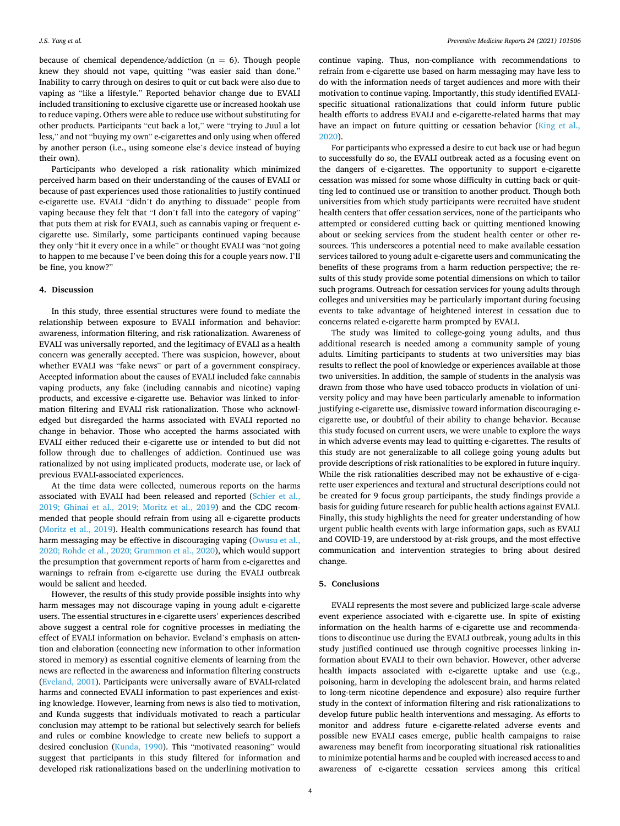because of chemical dependence/addiction ( $n = 6$ ). Though people knew they should not vape, quitting "was easier said than done." Inability to carry through on desires to quit or cut back were also due to vaping as "like a lifestyle." Reported behavior change due to EVALI included transitioning to exclusive cigarette use or increased hookah use to reduce vaping. Others were able to reduce use without substituting for other products. Participants "cut back a lot," were "trying to Juul a lot less," and not "buying my own" e-cigarettes and only using when offered by another person (i.e., using someone else's device instead of buying their own).

Participants who developed a risk rationality which minimized perceived harm based on their understanding of the causes of EVALI or because of past experiences used those rationalities to justify continued e-cigarette use. EVALI "didn't do anything to dissuade" people from vaping because they felt that "I don't fall into the category of vaping" that puts them at risk for EVALI, such as cannabis vaping or frequent ecigarette use. Similarly, some participants continued vaping because they only "hit it every once in a while" or thought EVALI was "not going to happen to me because I've been doing this for a couple years now. I'll be fine, you know?"

#### **4. Discussion**

In this study, three essential structures were found to mediate the relationship between exposure to EVALI information and behavior: awareness, information filtering, and risk rationalization. Awareness of EVALI was universally reported, and the legitimacy of EVALI as a health concern was generally accepted. There was suspicion, however, about whether EVALI was "fake news" or part of a government conspiracy. Accepted information about the causes of EVALI included fake cannabis vaping products, any fake (including cannabis and nicotine) vaping products, and excessive e-cigarette use. Behavior was linked to information filtering and EVALI risk rationalization. Those who acknowledged but disregarded the harms associated with EVALI reported no change in behavior. Those who accepted the harms associated with EVALI either reduced their e-cigarette use or intended to but did not follow through due to challenges of addiction. Continued use was rationalized by not using implicated products, moderate use, or lack of previous EVALI-associated experiences.

At the time data were collected, numerous reports on the harms associated with EVALI had been released and reported ([Schier et al.,](#page-4-0)  [2019; Ghinai et al., 2019; Moritz et al., 2019\)](#page-4-0) and the CDC recommended that people should refrain from using all e-cigarette products ([Moritz et al., 2019](#page-4-0)). Health communications research has found that harm messaging may be effective in discouraging vaping (Owusu et al., [2020; Rohde et al., 2020; Grummon et al., 2020\)](#page-4-0), which would support the presumption that government reports of harm from e-cigarettes and warnings to refrain from e-cigarette use during the EVALI outbreak would be salient and heeded.

However, the results of this study provide possible insights into why harm messages may not discourage vaping in young adult e-cigarette users. The essential structures in e-cigarette users' experiences described above suggest a central role for cognitive processes in mediating the effect of EVALI information on behavior. Eveland's emphasis on attention and elaboration (connecting new information to other information stored in memory) as essential cognitive elements of learning from the news are reflected in the awareness and information filtering constructs ([Eveland, 2001\)](#page-4-0). Participants were universally aware of EVALI-related harms and connected EVALI information to past experiences and existing knowledge. However, learning from news is also tied to motivation, and Kunda suggests that individuals motivated to reach a particular conclusion may attempt to be rational but selectively search for beliefs and rules or combine knowledge to create new beliefs to support a desired conclusion [\(Kunda, 1990](#page-4-0)). This "motivated reasoning" would suggest that participants in this study filtered for information and developed risk rationalizations based on the underlining motivation to

continue vaping. Thus, non-compliance with recommendations to refrain from e-cigarette use based on harm messaging may have less to do with the information needs of target audiences and more with their motivation to continue vaping. Importantly, this study identified EVALIspecific situational rationalizations that could inform future public health efforts to address EVALI and e-cigarette-related harms that may have an impact on future quitting or cessation behavior (King et al., [2020\)](#page-4-0).

For participants who expressed a desire to cut back use or had begun to successfully do so, the EVALI outbreak acted as a focusing event on the dangers of e-cigarettes. The opportunity to support e-cigarette cessation was missed for some whose difficulty in cutting back or quitting led to continued use or transition to another product. Though both universities from which study participants were recruited have student health centers that offer cessation services, none of the participants who attempted or considered cutting back or quitting mentioned knowing about or seeking services from the student health center or other resources. This underscores a potential need to make available cessation services tailored to young adult e-cigarette users and communicating the benefits of these programs from a harm reduction perspective; the results of this study provide some potential dimensions on which to tailor such programs. Outreach for cessation services for young adults through colleges and universities may be particularly important during focusing events to take advantage of heightened interest in cessation due to concerns related e-cigarette harm prompted by EVALI.

The study was limited to college-going young adults, and thus additional research is needed among a community sample of young adults. Limiting participants to students at two universities may bias results to reflect the pool of knowledge or experiences available at those two universities. In addition, the sample of students in the analysis was drawn from those who have used tobacco products in violation of university policy and may have been particularly amenable to information justifying e-cigarette use, dismissive toward information discouraging ecigarette use, or doubtful of their ability to change behavior. Because this study focused on current users, we were unable to explore the ways in which adverse events may lead to quitting e-cigarettes. The results of this study are not generalizable to all college going young adults but provide descriptions of risk rationalities to be explored in future inquiry. While the risk rationalities described may not be exhaustive of e-cigarette user experiences and textural and structural descriptions could not be created for 9 focus group participants, the study findings provide a basis for guiding future research for public health actions against EVALI. Finally, this study highlights the need for greater understanding of how urgent public health events with large information gaps, such as EVALI and COVID-19, are understood by at-risk groups, and the most effective communication and intervention strategies to bring about desired change.

## **5. Conclusions**

EVALI represents the most severe and publicized large-scale adverse event experience associated with e-cigarette use. In spite of existing information on the health harms of e-cigarette use and recommendations to discontinue use during the EVALI outbreak, young adults in this study justified continued use through cognitive processes linking information about EVALI to their own behavior. However, other adverse health impacts associated with e-cigarette uptake and use (e.g., poisoning, harm in developing the adolescent brain, and harms related to long-term nicotine dependence and exposure) also require further study in the context of information filtering and risk rationalizations to develop future public health interventions and messaging. As efforts to monitor and address future e-cigarette-related adverse events and possible new EVALI cases emerge, public health campaigns to raise awareness may benefit from incorporating situational risk rationalities to minimize potential harms and be coupled with increased access to and awareness of e-cigarette cessation services among this critical